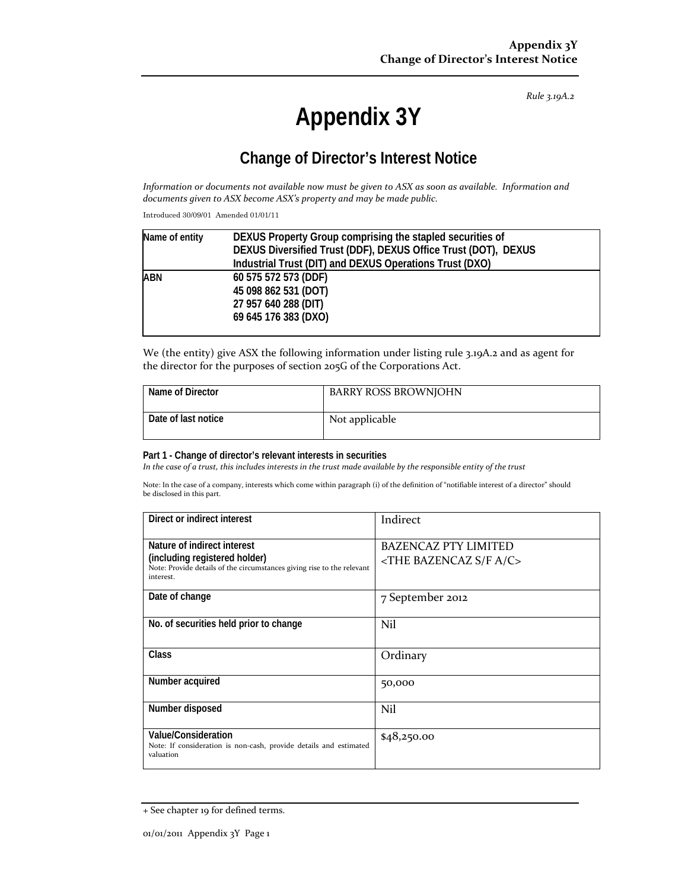*Rule 3.19A.2*

# **Appendix 3Y**

## **Change of Director's Interest Notice**

Information or documents not available now must be given to ASX as soon as available. Information and *documents given to ASX become ASX's property and may be made public.*

Introduced 30/09/01 Amended 01/01/11

| Name of entity | DEXUS Property Group comprising the stapled securities of      |
|----------------|----------------------------------------------------------------|
|                | DEXUS Diversified Trust (DDF), DEXUS Office Trust (DOT), DEXUS |
|                | Industrial Trust (DIT) and DEXUS Operations Trust (DXO)        |
| ABN            | 60 575 572 573 (DDF)                                           |
|                | 45 098 862 531 (DOT)                                           |
|                | 27 957 640 288 (DIT)                                           |
|                | 69 645 176 383 (DXO)                                           |
|                |                                                                |

We (the entity) give ASX the following information under listing rule 3.19A.2 and as agent for the director for the purposes of section 205G of the Corporations Act.

| Name of Director    | <b>BARRY ROSS BROWNJOHN</b> |
|---------------------|-----------------------------|
| Date of last notice | Not applicable              |

#### **Part 1 - Change of director's relevant interests in securities**

In the case of a trust, this includes interests in the trust made available by the responsible entity of the trust

Note: In the case of a company, interests which come within paragraph (i) of the definition of "notifiable interest of a director" should be disclosed in this part.

| Direct or indirect interest                                                                                                                         | Indirect                                                       |  |
|-----------------------------------------------------------------------------------------------------------------------------------------------------|----------------------------------------------------------------|--|
| Nature of indirect interest<br>(including registered holder)<br>Note: Provide details of the circumstances giving rise to the relevant<br>interest. | <b>BAZENCAZ PTY LIMITED</b><br>$\langle$ THE BAZENCAZ S/F A/C> |  |
| Date of change                                                                                                                                      | 7 September 2012                                               |  |
| No. of securities held prior to change                                                                                                              | Nil                                                            |  |
| <b>Class</b>                                                                                                                                        | Ordinary                                                       |  |
| Number acquired                                                                                                                                     | 50,000                                                         |  |
| Number disposed                                                                                                                                     | Nil                                                            |  |
| Value/Consideration<br>Note: If consideration is non-cash, provide details and estimated<br>valuation                                               | \$48,250.00                                                    |  |

<sup>+</sup> See chapter 19 for defined terms.